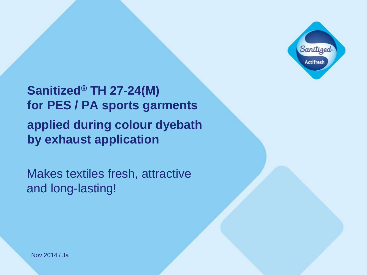

**Sanitized® TH 27-24(M) for PES / PA sports garments applied during colour dyebath by exhaust application**

Makes textiles fresh, attractive and long-lasting!

Nov 2014 / Ja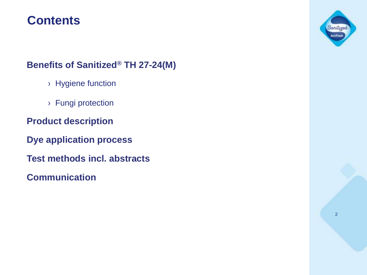### **Contents**

### **Benefits of Sanitized® TH 27-24(M)**

- › Hygiene function
- › Fungi protection
- **Product description**
- **Dye application process**
- **Test methods incl. abstracts**
- **Communication**

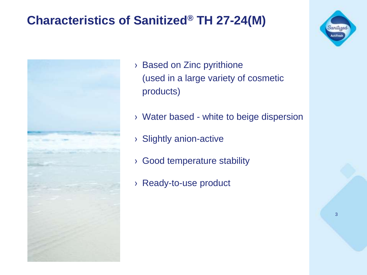### **Characteristics of Sanitized® TH 27-24(M)**



- › Based on Zinc pyrithione (used in a large variety of cosmetic products)
- › Water based white to beige dispersion
- › Slightly anion-active
- › Good temperature stability
- › Ready-to-use product

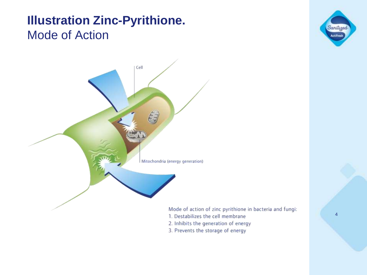### **Illustration Zinc-Pyrithione.** Mode of Action





- 2. Inhibits the generation of energy
- 3. Prevents the storage of energy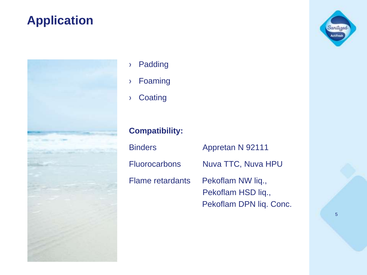### **Application**



- › Padding
- › Foaming
- › Coating

### **Compatibility:**

| <b>Binders</b>          | Appretan N 92111        |
|-------------------------|-------------------------|
| <b>Fluorocarbons</b>    | Nuva TTC, Nuva HPU      |
| <b>Flame retardants</b> | Pekoflam NW lig.,       |
|                         | Pekoflam HSD lig.,      |
|                         | Pekoflam DPN liq. Conc. |

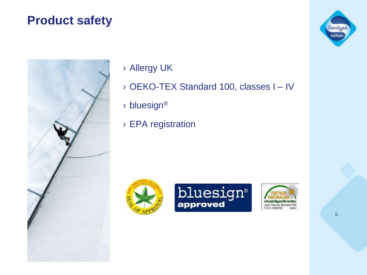### **Product safety**



› Allergy UK

- › OEKO-TEX Standard 100, classes I IV
- › bluesign®
- › EPA registration







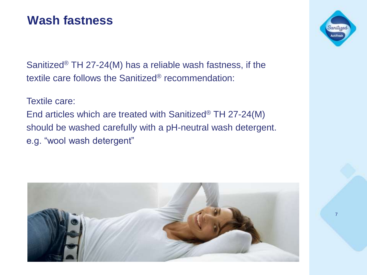### **Wash fastness**

Sanitized<sup>®</sup> TH 27-24(M) has a reliable wash fastness, if the textile care follows the Sanitized® recommendation:

Textile care:

End articles which are treated with Sanitized® TH 27-24(M) should be washed carefully with a pH-neutral wash detergent. e.g. "wool wash detergent"



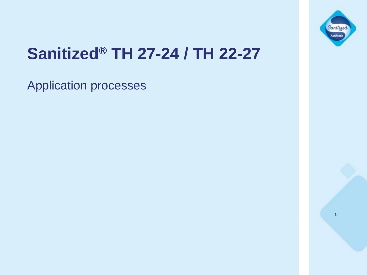

# **Sanitized® TH 27-24 / TH 22-27**

Application processes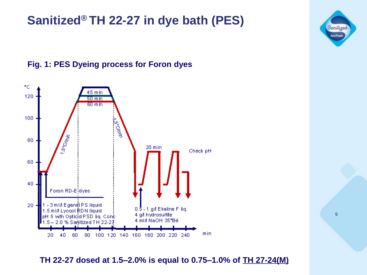### **Sanitized® TH 22-27 in dye bath (PES)**

### **Fig. 1: PES Dyeing process for Foron dyes**



**TH 22-27 dosed at 1.5–2.0% is equal to 0.75–1.0% of TH 27-24(M)**

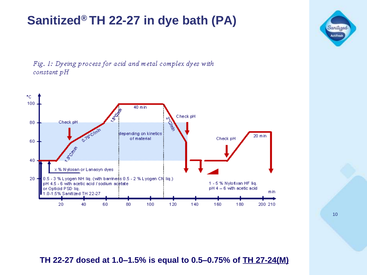## **Sanitized® TH 22-27 in dye bath (PA)**

Fig. 1: Dyeing process for acid and metal complex dyes with constant pH



**TH 22-27 dosed at 1.0–1.5% is equal to 0.5–0.75% of TH 27-24(M)**

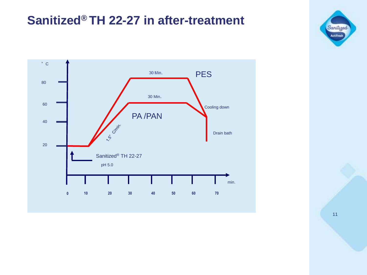### **Sanitized® TH 22-27 in after-treatment**



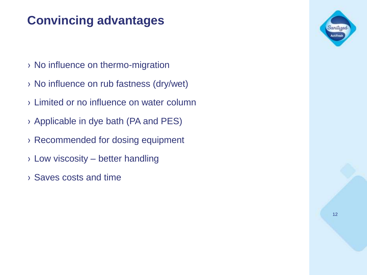## **Convincing advantages**

- › No influence on thermo-migration
- › No influence on rub fastness (dry/wet)
- › Limited or no influence on water column
- › Applicable in dye bath (PA and PES)
- › Recommended for dosing equipment
- $\rightarrow$  Low viscosity better handling
- › Saves costs and time

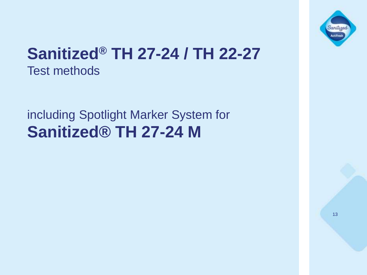

# **Sanitized® TH 27-24 / TH 22-27** Test methods

## including Spotlight Marker System for **Sanitized® TH 27-24 M**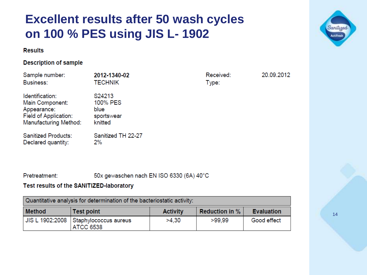### **Excellent results after 50 wash cycles on 100 % PES using JIS L- 1902**

#### **Results**

#### **Description of sample**

| Sample number:<br><b>Business:</b>                                                                         | 2012-1340-02<br><b>TECHNIK</b>                      | Received:<br>Type: | 20.09.2012 |
|------------------------------------------------------------------------------------------------------------|-----------------------------------------------------|--------------------|------------|
| Identification:<br>Main Component:<br>Appearance:<br>Field of Application:<br><b>Manufacturing Method:</b> | S24213<br>100% PES<br>blue<br>sportswear<br>knitted |                    |            |
| <b>Sanitized Products:</b><br>Declared quantity:                                                           | Sanitized TH 22-27<br>2%                            |                    |            |

Pretreatment: 50x gewaschen nach EN ISO 6330 (6A) 40°C

#### Test results of the SANITIZED-laboratory

| Quantitative analysis for determination of the bacteriostatic activity: |                                                             |                 |                       |                   |
|-------------------------------------------------------------------------|-------------------------------------------------------------|-----------------|-----------------------|-------------------|
| <b>Method</b>                                                           | <b>Test point</b>                                           | <b>Activity</b> | <b>Reduction in %</b> | <b>Evaluation</b> |
|                                                                         | JIS L 1902:2008   Staphylococcus aureus<br><b>ATCC 6538</b> | >4.30           | >99.99                | Good effect       |

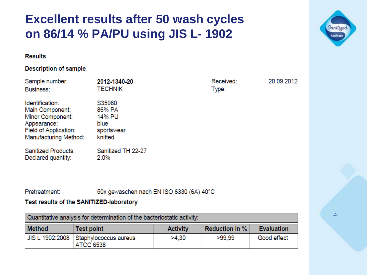### **Excellent results after 50 wash cycles on 86/14 % PA/PU using JIS L- 1902**

#### **Results**

#### **Description of sample**

| Sample number:<br><b>Business:</b>                                                                                             | 2012-1340-20<br><b>TECHNIK</b>                              | Received:<br>Type: | 20.09.2012 |
|--------------------------------------------------------------------------------------------------------------------------------|-------------------------------------------------------------|--------------------|------------|
| Identification:<br>Main Component:<br>Minor Component:<br>Appearance:<br>Field of Application:<br><b>Manufacturing Method:</b> | S35980<br>86% PA<br>14% PU<br>blue<br>sportswear<br>knitted |                    |            |
| <b>Sanitized Products:</b><br>Declared quantity:                                                                               | Sanitized TH 22-27<br>$2.0\%$                               |                    |            |

Pretreatment: 50x gewaschen nach EN ISO 6330 (6A) 40°C

#### Test results of the SANITIZED-laboratory

| Quantitative analysis for determination of the bacteriostatic activity: |                                                    |                 |                         |                   |
|-------------------------------------------------------------------------|----------------------------------------------------|-----------------|-------------------------|-------------------|
| <b>Method</b>                                                           | Test point                                         | <b>Activity</b> | <b>Reduction in %  </b> | <b>Evaluation</b> |
|                                                                         | JIS L 1902:2008 Staphylococcus aureus<br>ATCC 6538 | >4.30           | >99.99                  | Good effect       |

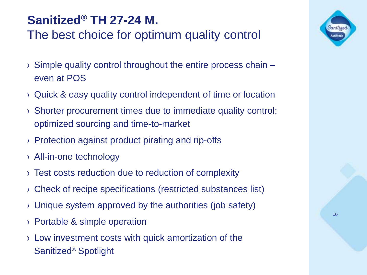## **Sanitized® TH 27-24 M.** The best choice for optimum quality control

- › Simple quality control throughout the entire process chain even at POS
- › Quick & easy quality control independent of time or location
- › Shorter procurement times due to immediate quality control: optimized sourcing and time-to-market
- › Protection against product pirating and rip-offs
- › All-in-one technology
- › Test costs reduction due to reduction of complexity
- › Check of recipe specifications (restricted substances list)
- › Unique system approved by the authorities (job safety)
- › Portable & simple operation
- › Low investment costs with quick amortization of the Sanitized® Spotlight

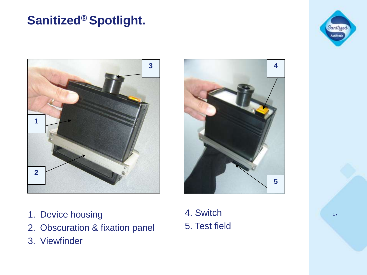### **Sanitized® Spotlight.**







- 1. Device housing
- 2. Obscuration & fixation panel
- 3. Viewfinder

4. Switch 5. Test field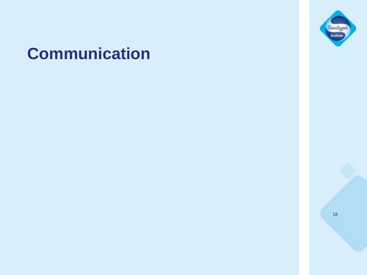# **Communication**



Sanitiged Actifresh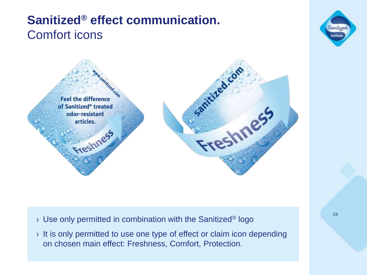### **Sanitized® effect communication.**  Comfort icons





- $\rightarrow$  Use only permitted in combination with the Sanitized<sup>®</sup> logo
- › It is only permitted to use one type of effect or claim icon depending on chosen main effect: Freshness, Comfort, Protection.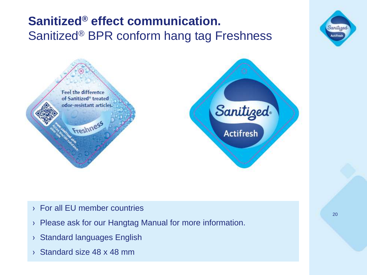## **Sanitized® effect communication.**  Sanitized® BPR conform hang tag Freshness







- › For all EU member countries
- › Please ask for our Hangtag Manual for more information.
- › Standard languages English
- › Standard size 48 x 48 mm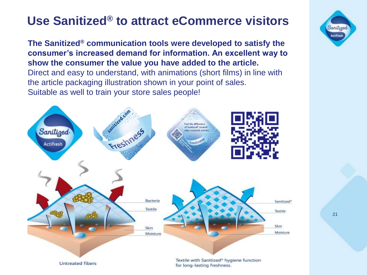### **Use Sanitized® to attract eCommerce visitors**

**The Sanitized® communication tools were developed to satisfy the consumer's increased demand for information. An excellent way to show the consumer the value you have added to the article.**  Direct and easy to understand, with animations (short films) in line with the article packaging illustration shown in your point of sales. Suitable as well to train your store sales people!



Sanitiged **Actifresh**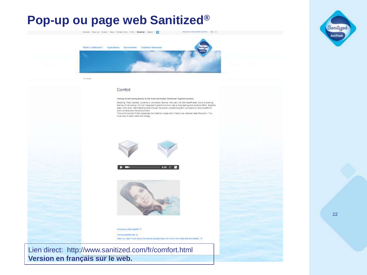### **Pop-up ou page web Sanitized®**



#### Comfort

Feeling of well-being thanks to the tried and tested Banitized// hygiene funotion

Bedding, fitted carpets, curtains or upholstery fabrics, that carry the Sanitized® seal, allow a relaxing feeling of well-being. For the Integrated hygiene function has a long-lasting and reliable effect. Breathe easily and relax. Sanitized® excels through its proven outstanding skin compatibility and is safe for both humans and the environment.

The antimicropial finish preserves the material longer and it has to be cleaned less flequently. You thus help to save water and energy.







More about Sanitized® 33

Active substances (ii)

Here you learn more apput the active substances with which the materials are treated. (i)

Lien direct: http://www.sanitized.com/fr/comfort.html **Version en français sur le web.**